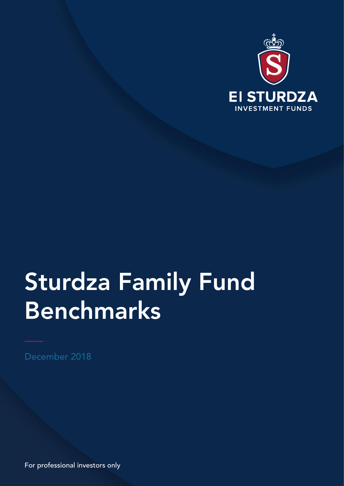

# Sturdza Family Fund Benchmarks

December 2018

For professional investors only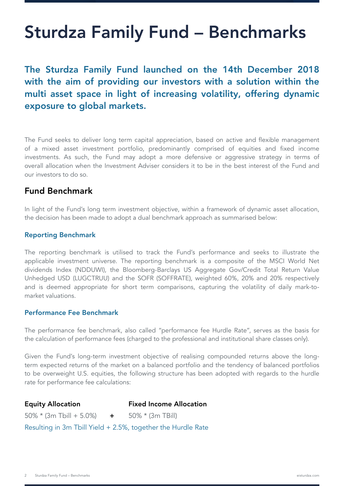## Sturdza Family Fund – Benchmarks

The Sturdza Family Fund launched on the 14th December 2018 with the aim of providing our investors with a solution within the multi asset space in light of increasing volatility, offering dynamic exposure to global markets.

The Fund seeks to deliver long term capital appreciation, based on active and flexible management of a mixed asset investment portfolio, predominantly comprised of equities and fixed income investments. As such, the Fund may adopt a more defensive or aggressive strategy in terms of overall allocation when the Investment Adviser considers it to be in the best interest of the Fund and our investors to do so.

### Fund Benchmark

In light of the Fund's long term investment objective, within a framework of dynamic asset allocation, the decision has been made to adopt a dual benchmark approach as summarised below:

#### Reporting Benchmark

The reporting benchmark is utilised to track the Fund's performance and seeks to illustrate the applicable investment universe. The reporting benchmark is a composite of the MSCI World Net dividends Index (NDDUWI), the Bloomberg-Barclays US Aggregate Gov/Credit Total Return Value Unhedged USD (LUGCTRUU) and the SOFR (SOFFRATE), weighted 60%, 20% and 20% respectively and is deemed appropriate for short term comparisons, capturing the volatility of daily mark-tomarket valuations.

#### Performance Fee Benchmark

The performance fee benchmark, also called "performance fee Hurdle Rate", serves as the basis for the calculation of performance fees (charged to the professional and institutional share classes only).

Given the Fund's long-term investment objective of realising compounded returns above the longterm expected returns of the market on a balanced portfolio and the tendency of balanced portfolios to be overweight U.S. equities, the following structure has been adopted with regards to the hurdle rate for performance fee calculations:

Equity Allocation Fixed Income Allocation  $50\% * (3m \text{ Tbill} + 5.0\%)$  +  $50\% * (3m \text{ TBill})$ Resulting in 3m Tbill Yield + 2.5%, together the Hurdle Rate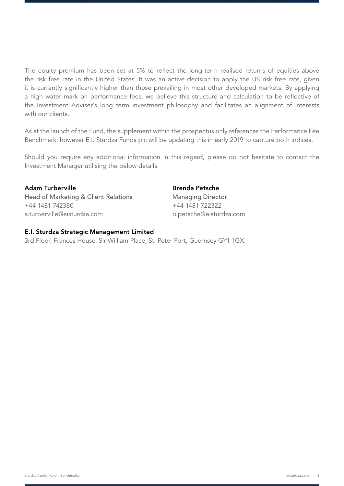The equity premium has been set at 5% to reflect the long-term realised returns of equities above the risk free rate in the United States. It was an active decision to apply the US risk free rate, given it is currently significantly higher than those prevailing in most other developed markets. By applying a high water mark on performance fees, we believe this structure and calculation to be reflective of the Investment Adviser's long term investment philosophy and facilitates an alignment of interests with our clients.

As at the launch of the Fund, the supplement within the prospectus only references the Performance Fee Benchmark; however E.I. Sturdza Funds plc will be updating this in early 2019 to capture both indices.

Should you require any additional information in this regard, please do not hesitate to contact the Investment Manager utilising the below details.

### Adam Turberville

Head of Marketing & Client Relations +44 1481 742380 a.turberville@eisturdza.com

#### Brenda Petsche

Managing Director +44 1481 722322 b.petsche@eisturdza.com

#### E.I. Sturdza Strategic Management Limited

3rd Floor, Frances House, Sir William Place, St. Peter Port, Guernsey GY1 1GX.